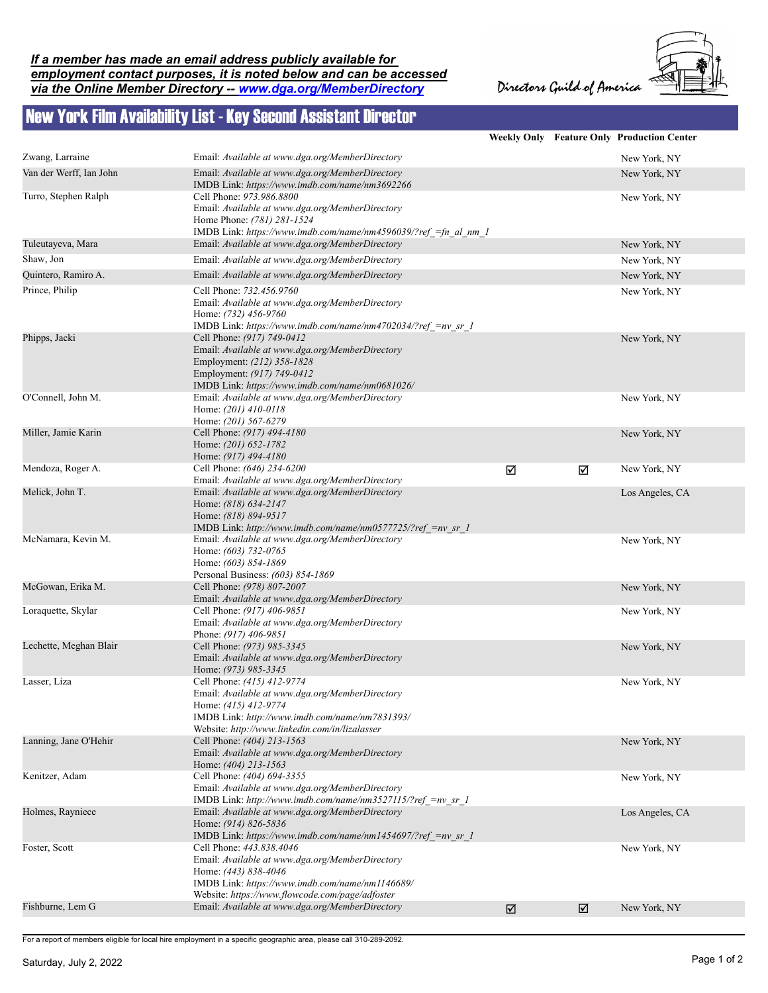## *If a member has made an email address publicly available for employment contact purposes, it is noted below and can be accessed via the Online Member Directory -- www.dga.org/MemberDirectory*

Directors Guild of America



## New York Film Availability List - Key Second Assistant Director

|                         |                                                                                                                                                                                                           |   |   | Weekly Only Feature Only Production Center |
|-------------------------|-----------------------------------------------------------------------------------------------------------------------------------------------------------------------------------------------------------|---|---|--------------------------------------------|
| Zwang, Larraine         | Email: Available at www.dga.org/MemberDirectory                                                                                                                                                           |   |   | New York, NY                               |
| Van der Werff, Ian John | Email: Available at www.dga.org/MemberDirectory<br>IMDB Link: https://www.imdb.com/name/nm3692266                                                                                                         |   |   | New York, NY                               |
| Turro, Stephen Ralph    | Cell Phone: 973.986.8800<br>Email: Available at www.dga.org/MemberDirectory<br>Home Phone: (781) 281-1524<br>IMDB Link: https://www.imdb.com/name/nm4596039/?ref =fn al nm 1                              |   |   | New York, NY                               |
| Tuleutayeva, Mara       | Email: Available at www.dga.org/MemberDirectory                                                                                                                                                           |   |   | New York, NY                               |
| Shaw, Jon               | Email: Available at www.dga.org/MemberDirectory                                                                                                                                                           |   |   | New York, NY                               |
| Quintero, Ramiro A.     | Email: Available at www.dga.org/MemberDirectory                                                                                                                                                           |   |   | New York, NY                               |
| Prince, Philip          | Cell Phone: 732.456.9760<br>Email: Available at www.dga.org/MemberDirectory<br>Home: (732) 456-9760<br>IMDB Link: https://www.imdb.com/name/nm4702034/?ref =nv sr 1                                       |   |   | New York, NY                               |
| Phipps, Jacki           | Cell Phone: (917) 749-0412<br>Email: Available at www.dga.org/MemberDirectory<br>Employment: (212) 358-1828<br>Employment: (917) 749-0412<br>IMDB Link: https://www.imdb.com/name/nm0681026/              |   |   | New York, NY                               |
| O'Connell, John M.      | Email: Available at www.dga.org/MemberDirectory<br>Home: (201) 410-0118<br>Home: (201) 567-6279                                                                                                           |   |   | New York, NY                               |
| Miller, Jamie Karin     | Cell Phone: (917) 494-4180<br>Home: (201) 652-1782<br>Home: (917) 494-4180                                                                                                                                |   |   | New York, NY                               |
| Mendoza, Roger A.       | Cell Phone: (646) 234-6200<br>Email: Available at www.dga.org/MemberDirectory                                                                                                                             | ☑ | ☑ | New York, NY                               |
| Melick, John T.         | Email: Available at www.dga.org/MemberDirectory<br>Home: (818) 634-2147<br>Home: (818) 894-9517<br>IMDB Link: http://www.imdb.com/name/nm0577725/?ref =nv sr 1                                            |   |   | Los Angeles, CA                            |
| McNamara, Kevin M.      | Email: Available at www.dga.org/MemberDirectory<br>Home: (603) 732-0765<br>Home: (603) 854-1869<br>Personal Business: (603) 854-1869                                                                      |   |   | New York, NY                               |
| McGowan, Erika M.       | Cell Phone: (978) 807-2007<br>Email: Available at www.dga.org/MemberDirectory                                                                                                                             |   |   | New York, NY                               |
| Loraquette, Skylar      | Cell Phone: (917) 406-9851<br>Email: Available at www.dga.org/MemberDirectory<br>Phone: (917) 406-9851                                                                                                    |   |   | New York, NY                               |
| Lechette, Meghan Blair  | Cell Phone: (973) 985-3345<br>Email: Available at www.dga.org/MemberDirectory<br>Home: (973) 985-3345                                                                                                     |   |   | New York, NY                               |
| Lasser, Liza            | Cell Phone: (415) 412-9774<br>Email: Available at www.dga.org/MemberDirectory<br>Home: (415) 412-9774<br>IMDB Link: http://www.imdb.com/name/nm7831393/<br>Website: http://www.linkedin.com/in/lizalasser |   |   | New York, NY                               |
| Lanning, Jane O'Hehir   | Cell Phone: (404) 213-1563<br>Email: Available at www.dga.org/MemberDirectory<br>Home: (404) 213-1563                                                                                                     |   |   | New York, NY                               |
| Kenitzer, Adam          | Cell Phone: (404) 694-3355<br>Email: Available at www.dga.org/MemberDirectory<br>IMDB Link: http://www.imdb.com/name/nm3527115/?ref =nv sr 1                                                              |   |   | New York, NY                               |
| Holmes, Rayniece        | Email: Available at www.dga.org/MemberDirectory<br>Home: (914) 826-5836<br>IMDB Link: https://www.imdb.com/name/nm1454697/?ref =nv sr 1                                                                   |   |   | Los Angeles, CA                            |
| Foster, Scott           | Cell Phone: 443.838.4046<br>Email: Available at www.dga.org/MemberDirectory<br>Home: (443) 838-4046<br>IMDB Link: https://www.imdb.com/name/nm1146689/                                                    |   |   | New York, NY                               |
| Fishburne, Lem G        | Website: https://www.flowcode.com/page/adfoster<br>Email: Available at www.dga.org/MemberDirectory                                                                                                        | ☑ | ☑ | New York, NY                               |
|                         |                                                                                                                                                                                                           |   |   |                                            |

For a report of members eligible for local hire employment in a specific geographic area, please call 310-289-2092.